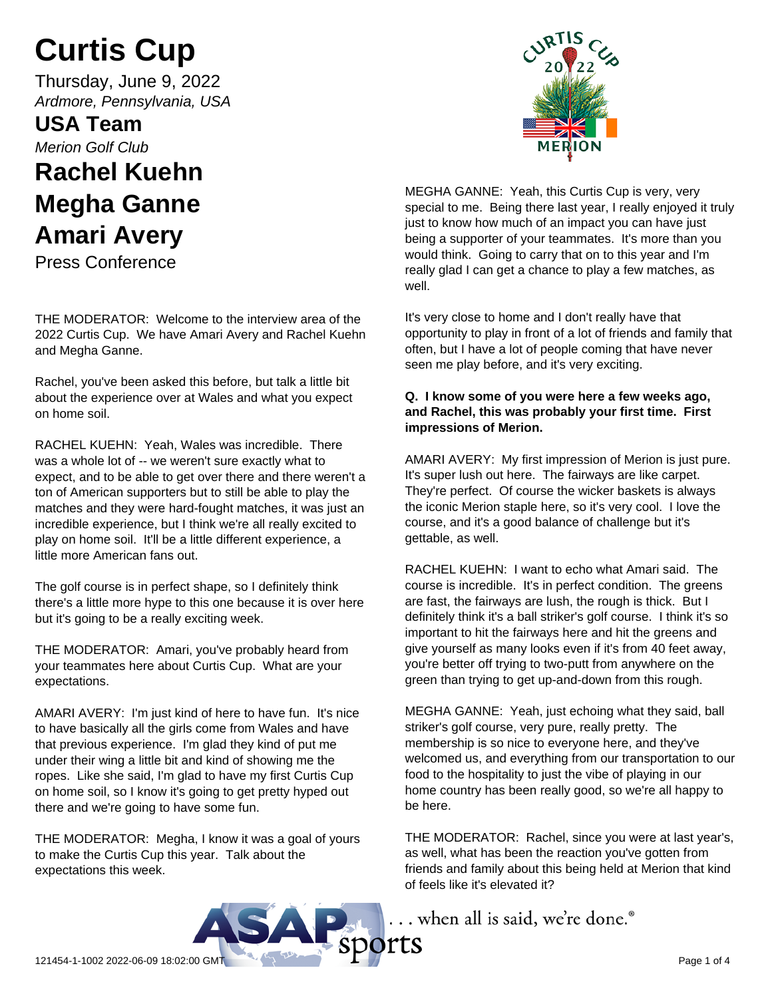# **Curtis Cup**

Thursday, June 9, 2022 *Ardmore, Pennsylvania, USA*

**USA Team** *Merion Golf Club*

## **Rachel Kuehn Megha Ganne Amari Avery**

Press Conference

THE MODERATOR: Welcome to the interview area of the 2022 Curtis Cup. We have Amari Avery and Rachel Kuehn and Megha Ganne.

Rachel, you've been asked this before, but talk a little bit about the experience over at Wales and what you expect on home soil.

RACHEL KUEHN: Yeah, Wales was incredible. There was a whole lot of -- we weren't sure exactly what to expect, and to be able to get over there and there weren't a ton of American supporters but to still be able to play the matches and they were hard-fought matches, it was just an incredible experience, but I think we're all really excited to play on home soil. It'll be a little different experience, a little more American fans out.

The golf course is in perfect shape, so I definitely think there's a little more hype to this one because it is over here but it's going to be a really exciting week.

THE MODERATOR: Amari, you've probably heard from your teammates here about Curtis Cup. What are your expectations.

AMARI AVERY: I'm just kind of here to have fun. It's nice to have basically all the girls come from Wales and have that previous experience. I'm glad they kind of put me under their wing a little bit and kind of showing me the ropes. Like she said, I'm glad to have my first Curtis Cup on home soil, so I know it's going to get pretty hyped out there and we're going to have some fun.

THE MODERATOR: Megha, I know it was a goal of yours to make the Curtis Cup this year. Talk about the expectations this week.



MEGHA GANNE: Yeah, this Curtis Cup is very, very special to me. Being there last year, I really enjoyed it truly just to know how much of an impact you can have just being a supporter of your teammates. It's more than you would think. Going to carry that on to this year and I'm really glad I can get a chance to play a few matches, as well.

It's very close to home and I don't really have that opportunity to play in front of a lot of friends and family that often, but I have a lot of people coming that have never seen me play before, and it's very exciting.

## **Q. I know some of you were here a few weeks ago, and Rachel, this was probably your first time. First impressions of Merion.**

AMARI AVERY: My first impression of Merion is just pure. It's super lush out here. The fairways are like carpet. They're perfect. Of course the wicker baskets is always the iconic Merion staple here, so it's very cool. I love the course, and it's a good balance of challenge but it's gettable, as well.

RACHEL KUEHN: I want to echo what Amari said. The course is incredible. It's in perfect condition. The greens are fast, the fairways are lush, the rough is thick. But I definitely think it's a ball striker's golf course. I think it's so important to hit the fairways here and hit the greens and give yourself as many looks even if it's from 40 feet away, you're better off trying to two-putt from anywhere on the green than trying to get up-and-down from this rough.

MEGHA GANNE: Yeah, just echoing what they said, ball striker's golf course, very pure, really pretty. The membership is so nice to everyone here, and they've welcomed us, and everything from our transportation to our food to the hospitality to just the vibe of playing in our home country has been really good, so we're all happy to be here.

THE MODERATOR: Rachel, since you were at last year's, as well, what has been the reaction you've gotten from friends and family about this being held at Merion that kind of feels like it's elevated it?

... when all is said, we're done.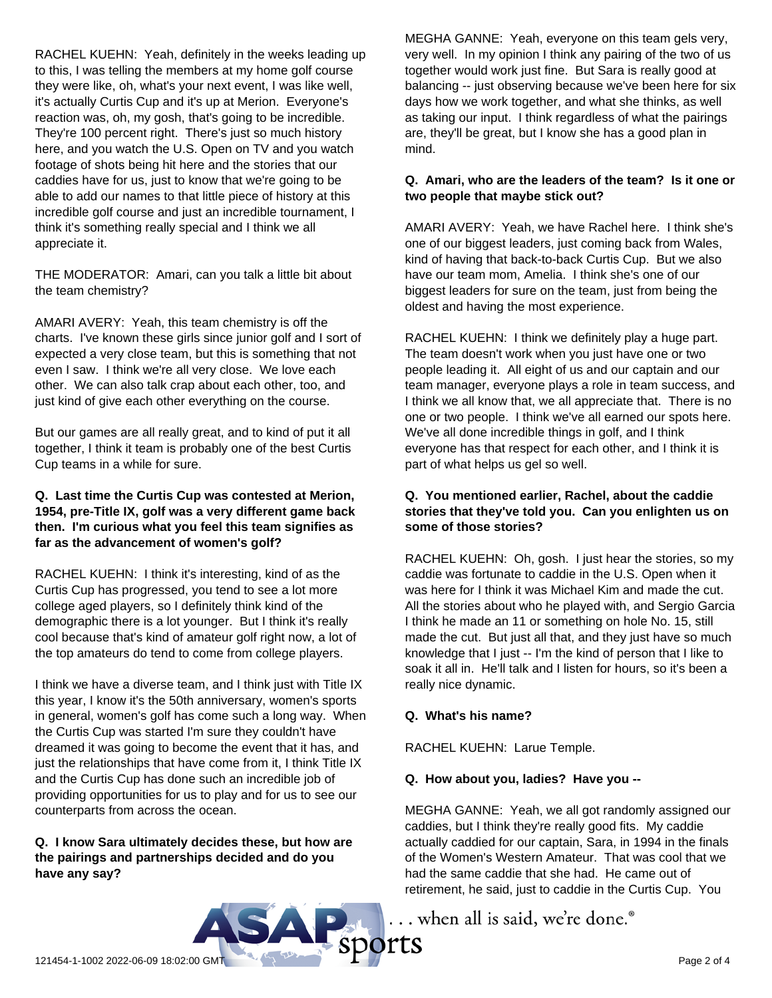RACHEL KUEHN: Yeah, definitely in the weeks leading up to this, I was telling the members at my home golf course they were like, oh, what's your next event, I was like well, it's actually Curtis Cup and it's up at Merion. Everyone's reaction was, oh, my gosh, that's going to be incredible. They're 100 percent right. There's just so much history here, and you watch the U.S. Open on TV and you watch footage of shots being hit here and the stories that our caddies have for us, just to know that we're going to be able to add our names to that little piece of history at this incredible golf course and just an incredible tournament, I think it's something really special and I think we all appreciate it.

THE MODERATOR: Amari, can you talk a little bit about the team chemistry?

AMARI AVERY: Yeah, this team chemistry is off the charts. I've known these girls since junior golf and I sort of expected a very close team, but this is something that not even I saw. I think we're all very close. We love each other. We can also talk crap about each other, too, and just kind of give each other everything on the course.

But our games are all really great, and to kind of put it all together, I think it team is probably one of the best Curtis Cup teams in a while for sure.

#### **Q. Last time the Curtis Cup was contested at Merion, 1954, pre-Title IX, golf was a very different game back then. I'm curious what you feel this team signifies as far as the advancement of women's golf?**

RACHEL KUEHN: I think it's interesting, kind of as the Curtis Cup has progressed, you tend to see a lot more college aged players, so I definitely think kind of the demographic there is a lot younger. But I think it's really cool because that's kind of amateur golf right now, a lot of the top amateurs do tend to come from college players.

I think we have a diverse team, and I think just with Title IX this year, I know it's the 50th anniversary, women's sports in general, women's golf has come such a long way. When the Curtis Cup was started I'm sure they couldn't have dreamed it was going to become the event that it has, and just the relationships that have come from it, I think Title IX and the Curtis Cup has done such an incredible job of providing opportunities for us to play and for us to see our counterparts from across the ocean.

**Q. I know Sara ultimately decides these, but how are the pairings and partnerships decided and do you have any say?**

MEGHA GANNE: Yeah, everyone on this team gels very, very well. In my opinion I think any pairing of the two of us together would work just fine. But Sara is really good at balancing -- just observing because we've been here for six days how we work together, and what she thinks, as well as taking our input. I think regardless of what the pairings are, they'll be great, but I know she has a good plan in mind.

## **Q. Amari, who are the leaders of the team? Is it one or two people that maybe stick out?**

AMARI AVERY: Yeah, we have Rachel here. I think she's one of our biggest leaders, just coming back from Wales, kind of having that back-to-back Curtis Cup. But we also have our team mom, Amelia. I think she's one of our biggest leaders for sure on the team, just from being the oldest and having the most experience.

RACHEL KUEHN: I think we definitely play a huge part. The team doesn't work when you just have one or two people leading it. All eight of us and our captain and our team manager, everyone plays a role in team success, and I think we all know that, we all appreciate that. There is no one or two people. I think we've all earned our spots here. We've all done incredible things in golf, and I think everyone has that respect for each other, and I think it is part of what helps us gel so well.

## **Q. You mentioned earlier, Rachel, about the caddie stories that they've told you. Can you enlighten us on some of those stories?**

RACHEL KUEHN: Oh, gosh. I just hear the stories, so my caddie was fortunate to caddie in the U.S. Open when it was here for I think it was Michael Kim and made the cut. All the stories about who he played with, and Sergio Garcia I think he made an 11 or something on hole No. 15, still made the cut. But just all that, and they just have so much knowledge that I just -- I'm the kind of person that I like to soak it all in. He'll talk and I listen for hours, so it's been a really nice dynamic.

## **Q. What's his name?**

RACHEL KUEHN: Larue Temple.

## **Q. How about you, ladies? Have you --**

MEGHA GANNE: Yeah, we all got randomly assigned our caddies, but I think they're really good fits. My caddie actually caddied for our captain, Sara, in 1994 in the finals of the Women's Western Amateur. That was cool that we had the same caddie that she had. He came out of retirement, he said, just to caddie in the Curtis Cup. You

... when all is said, we're done.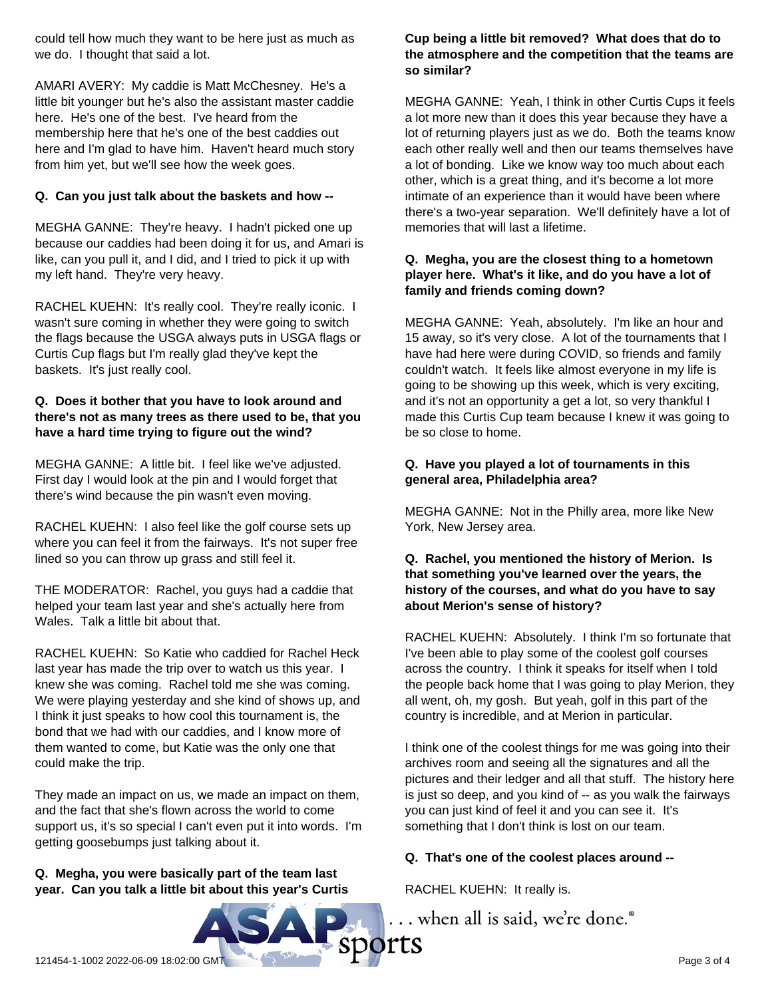could tell how much they want to be here just as much as we do. I thought that said a lot.

AMARI AVERY: My caddie is Matt McChesney. He's a little bit younger but he's also the assistant master caddie here. He's one of the best. I've heard from the membership here that he's one of the best caddies out here and I'm glad to have him. Haven't heard much story from him yet, but we'll see how the week goes.

## **Q. Can you just talk about the baskets and how --**

MEGHA GANNE: They're heavy. I hadn't picked one up because our caddies had been doing it for us, and Amari is like, can you pull it, and I did, and I tried to pick it up with my left hand. They're very heavy.

RACHEL KUEHN: It's really cool. They're really iconic. I wasn't sure coming in whether they were going to switch the flags because the USGA always puts in USGA flags or Curtis Cup flags but I'm really glad they've kept the baskets. It's just really cool.

## **Q. Does it bother that you have to look around and there's not as many trees as there used to be, that you have a hard time trying to figure out the wind?**

MEGHA GANNE: A little bit. I feel like we've adjusted. First day I would look at the pin and I would forget that there's wind because the pin wasn't even moving.

RACHEL KUEHN: I also feel like the golf course sets up where you can feel it from the fairways. It's not super free lined so you can throw up grass and still feel it.

THE MODERATOR: Rachel, you guys had a caddie that helped your team last year and she's actually here from Wales. Talk a little bit about that.

RACHEL KUEHN: So Katie who caddied for Rachel Heck last year has made the trip over to watch us this year. I knew she was coming. Rachel told me she was coming. We were playing yesterday and she kind of shows up, and I think it just speaks to how cool this tournament is, the bond that we had with our caddies, and I know more of them wanted to come, but Katie was the only one that could make the trip.

They made an impact on us, we made an impact on them, and the fact that she's flown across the world to come support us, it's so special I can't even put it into words. I'm getting goosebumps just talking about it.

## **Q. Megha, you were basically part of the team last year. Can you talk a little bit about this year's Curtis**

## **Cup being a little bit removed? What does that do to the atmosphere and the competition that the teams are so similar?**

MEGHA GANNE: Yeah, I think in other Curtis Cups it feels a lot more new than it does this year because they have a lot of returning players just as we do. Both the teams know each other really well and then our teams themselves have a lot of bonding. Like we know way too much about each other, which is a great thing, and it's become a lot more intimate of an experience than it would have been where there's a two-year separation. We'll definitely have a lot of memories that will last a lifetime.

## **Q. Megha, you are the closest thing to a hometown player here. What's it like, and do you have a lot of family and friends coming down?**

MEGHA GANNE: Yeah, absolutely. I'm like an hour and 15 away, so it's very close. A lot of the tournaments that I have had here were during COVID, so friends and family couldn't watch. It feels like almost everyone in my life is going to be showing up this week, which is very exciting, and it's not an opportunity a get a lot, so very thankful I made this Curtis Cup team because I knew it was going to be so close to home.

## **Q. Have you played a lot of tournaments in this general area, Philadelphia area?**

MEGHA GANNE: Not in the Philly area, more like New York, New Jersey area.

## **Q. Rachel, you mentioned the history of Merion. Is that something you've learned over the years, the history of the courses, and what do you have to say about Merion's sense of history?**

RACHEL KUEHN: Absolutely. I think I'm so fortunate that I've been able to play some of the coolest golf courses across the country. I think it speaks for itself when I told the people back home that I was going to play Merion, they all went, oh, my gosh. But yeah, golf in this part of the country is incredible, and at Merion in particular.

I think one of the coolest things for me was going into their archives room and seeing all the signatures and all the pictures and their ledger and all that stuff. The history here is just so deep, and you kind of -- as you walk the fairways you can just kind of feel it and you can see it. It's something that I don't think is lost on our team.

## **Q. That's one of the coolest places around --**

RACHEL KUEHN: It really is.

... when all is said, we're done.<sup>®</sup>